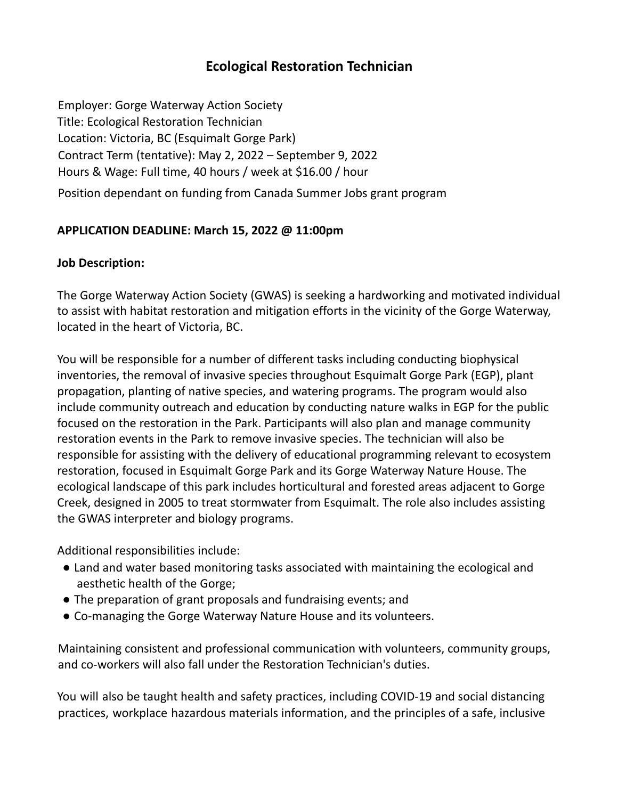# **Ecological Restoration Technician**

Employer: Gorge Waterway Action Society Title: Ecological Restoration Technician Location: Victoria, BC (Esquimalt Gorge Park) Contract Term (tentative): May 2, 2022 – September 9, 2022 Hours & Wage: Full time, 40 hours / week at \$16.00 / hour Position dependant on funding from Canada Summer Jobs grant program

### **APPLICATION DEADLINE: March 15, 2022 @ 11:00pm**

#### **Job Description:**

The Gorge Waterway Action Society (GWAS) is seeking a hardworking and motivated individual to assist with habitat restoration and mitigation efforts in the vicinity of the Gorge Waterway, located in the heart of Victoria, BC.

You will be responsible for a number of different tasks including conducting biophysical inventories, the removal of invasive species throughout Esquimalt Gorge Park (EGP), plant propagation, planting of native species, and watering programs. The program would also include community outreach and education by conducting nature walks in EGP for the public focused on the restoration in the Park. Participants will also plan and manage community restoration events in the Park to remove invasive species. The technician will also be responsible for assisting with the delivery of educational programming relevant to ecosystem restoration, focused in Esquimalt Gorge Park and its Gorge Waterway Nature House. The ecological landscape of this park includes horticultural and forested areas adjacent to Gorge Creek, designed in 2005 to treat stormwater from Esquimalt. The role also includes assisting the GWAS interpreter and biology programs.

Additional responsibilities include:

- Land and water based monitoring tasks associated with maintaining the ecological and aesthetic health of the Gorge;
- The preparation of grant proposals and fundraising events; and
- Co-managing the Gorge Waterway Nature House and its volunteers.

Maintaining consistent and professional communication with volunteers, community groups, and co-workers will also fall under the Restoration Technician's duties.

You will also be taught health and safety practices, including COVID-19 and social distancing practices, workplace hazardous materials information, and the principles of a safe, inclusive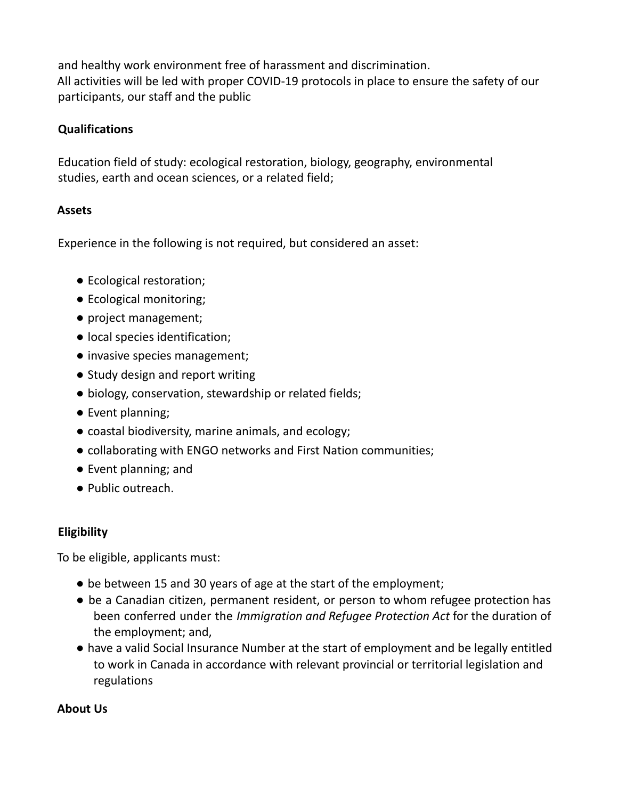and healthy work environment free of harassment and discrimination. All activities will be led with proper COVID-19 protocols in place to ensure the safety of our participants, our staff and the public

## **Qualifications**

Education field of study: ecological restoration, biology, geography, environmental studies, earth and ocean sciences, or a related field;

### **Assets**

Experience in the following is not required, but considered an asset:

- Ecological restoration;
- Ecological monitoring;
- project management;
- local species identification;
- invasive species management;
- Study design and report writing
- biology, conservation, stewardship or related fields;
- Event planning;
- coastal biodiversity, marine animals, and ecology;
- collaborating with ENGO networks and First Nation communities;
- Event planning; and
- Public outreach.

## **Eligibility**

To be eligible, applicants must:

- be between 15 and 30 years of age at the start of the employment;
- be a Canadian citizen, permanent resident, or person to whom refugee protection has been conferred under the *Immigration and Refugee Protection Act* for the duration of the employment; and,
- have a valid Social Insurance Number at the start of employment and be legally entitled to work in Canada in accordance with relevant provincial or territorial legislation and regulations

### **About Us**